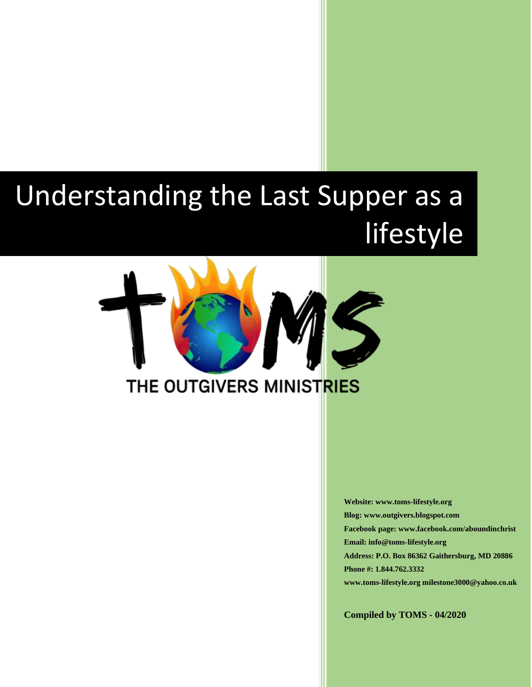# Understanding the Last Supper as a lifestyle



**Website: www.toms-lifestyle.org Blog: www.outgivers.blogspot.com Facebook page: www.facebook.com/aboundinchrist Email: info@toms-lifestyle.org Address: P.O. Box 86362 Gaithersburg, MD 20886 Phone #: 1.844.762.3332 www.toms-lifestyle.org milestone3000@yahoo.co.uk**

**Compiled by TOMS - 04/2020**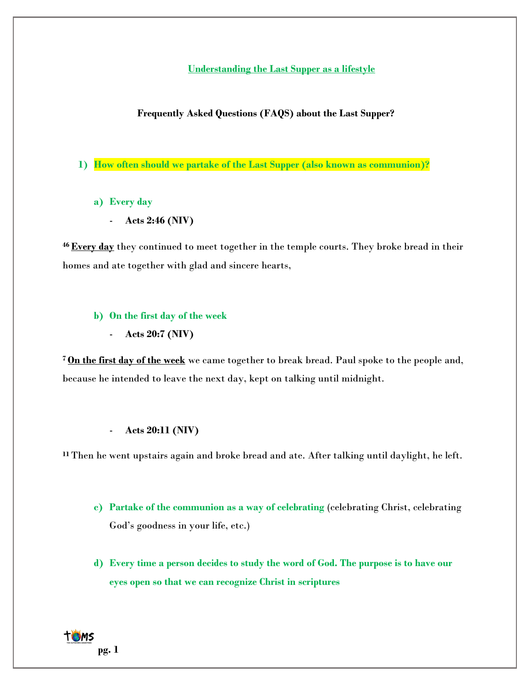**Understanding the Last Supper as a lifestyle**

**Frequently Asked Questions (FAQS) about the Last Supper?**

- **1) How often should we partake of the Last Supper (also known as communion)?**
	- **a) Every day**
		- **Acts 2:46 (NIV)**

**<sup>46</sup> Every day** they continued to meet together in the temple courts. They broke bread in their homes and ate together with glad and sincere hearts,

# **b) On the first day of the week**

- **Acts 20:7 (NIV)**

**<sup>7</sup> On the first day of the week** we came together to break bread. Paul spoke to the people and, because he intended to leave the next day, kept on talking until midnight.

# - **Acts 20:11 (NIV)**

**<sup>11</sup>**Then he went upstairs again and broke bread and ate. After talking until daylight, he left.

- **c) Partake of the communion as a way of celebrating** (celebrating Christ, celebrating God's goodness in your life, etc.)
- **d) Every time a person decides to study the word of God. The purpose is to have our eyes open so that we can recognize Christ in scriptures**

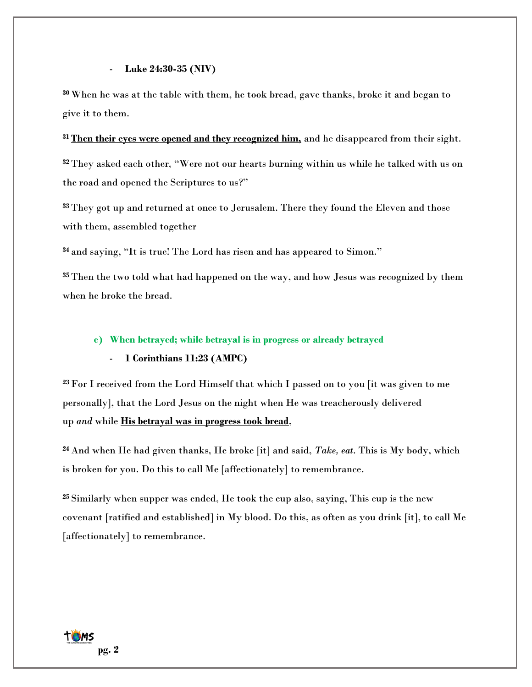#### - **Luke 24:30-35 (NIV)**

**<sup>30</sup>** When he was at the table with them, he took bread, gave thanks, broke it and began to give it to them.

**<sup>31</sup> Then their eyes were opened and they recognized him,** and he disappeared from their sight.

**<sup>32</sup>** They asked each other, "Were not our hearts burning within us while he talked with us on the road and opened the Scriptures to us?"

**<sup>33</sup>** They got up and returned at once to Jerusalem. There they found the Eleven and those with them, assembled together

**<sup>34</sup>** and saying, "It is true! The Lord has risen and has appeared to Simon."

**<sup>35</sup>** Then the two told what had happened on the way, and how Jesus was recognized by them when he broke the bread.

## **e) When betrayed; while betrayal is in progress or already betrayed**

## - **1 Corinthians 11:23 (AMPC)**

**<sup>23</sup>** For I received from the Lord Himself that which I passed on to you [it was given to me personally], that the Lord Jesus on the night when He was treacherously delivered up *and* while **His betrayal was in progress took bread**,

**<sup>24</sup>** And when He had given thanks, He broke [it] and said, *Take, eat*. This is My body, which is broken for you. Do this to call Me [affectionately] to remembrance.

**<sup>25</sup>** Similarly when supper was ended, He took the cup also, saying, This cup is the new covenant [ratified and established] in My blood. Do this, as often as you drink [it], to call Me [affectionately] to remembrance.

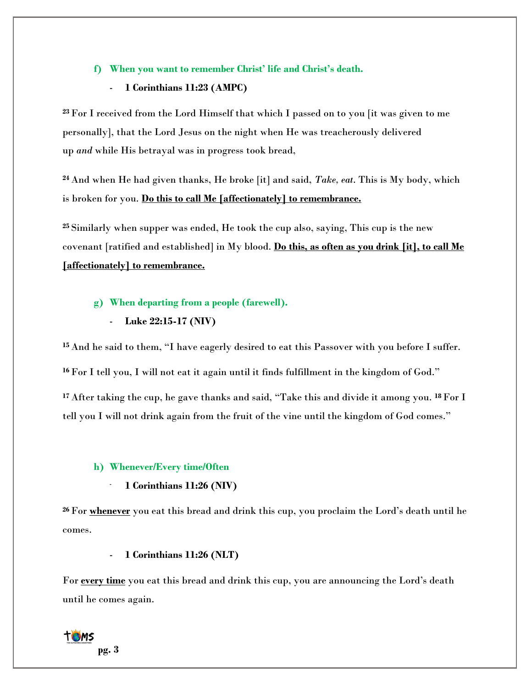# **f) When you want to remember Christ' life and Christ's death.**

# - **1 Corinthians 11:23 (AMPC)**

**<sup>23</sup>** For I received from the Lord Himself that which I passed on to you [it was given to me personally], that the Lord Jesus on the night when He was treacherously delivered up *and* while His betrayal was in progress took bread,

**<sup>24</sup>** And when He had given thanks, He broke [it] and said, *Take, eat*. This is My body, which is broken for you. **Do this to call Me [affectionately] to remembrance.**

**<sup>25</sup>** Similarly when supper was ended, He took the cup also, saying, This cup is the new covenant [ratified and established] in My blood. **Do this, as often as you drink [it], to call Me [affectionately] to remembrance.**

## **g) When departing from a people (farewell).**

- **Luke 22:15-17 (NIV)**

**<sup>15</sup>** And he said to them, "I have eagerly desired to eat this Passover with you before I suffer.

**<sup>16</sup>** For I tell you, I will not eat it again until it finds fulfillment in the kingdom of God."

**<sup>17</sup>** After taking the cup, he gave thanks and said, "Take this and divide it among you. **<sup>18</sup>**For I tell you I will not drink again from the fruit of the vine until the kingdom of God comes."

## **h) Whenever/Every time/Often**

# - **1 Corinthians 11:26 (NIV)**

**<sup>26</sup>** For **whenever** you eat this bread and drink this cup, you proclaim the Lord's death until he comes.

# - **1 Corinthians 11:26 (NLT)**

For **every time** you eat this bread and drink this cup, you are announcing the Lord's death until he comes again.

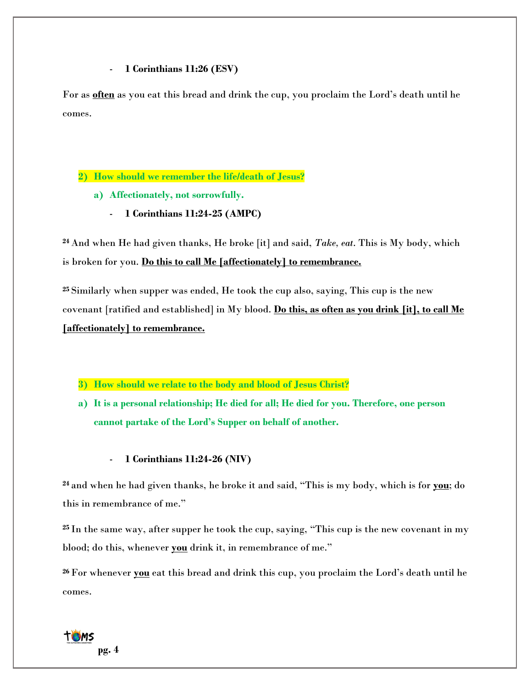# - **1 Corinthians 11:26 (ESV)**

For as **often** as you eat this bread and drink the cup, you proclaim the Lord's death until he comes.

# **2) How should we remember the life/death of Jesus?**

- **a) Affectionately, not sorrowfully.**
	- **1 Corinthians 11:24-25 (AMPC)**

**<sup>24</sup>** And when He had given thanks, He broke [it] and said, *Take, eat*. This is My body, which is broken for you. **Do this to call Me [affectionately] to remembrance.**

**<sup>25</sup>** Similarly when supper was ended, He took the cup also, saying, This cup is the new covenant [ratified and established] in My blood. **Do this, as often as you drink [it], to call Me [affectionately] to remembrance.**

- **3) How should we relate to the body and blood of Jesus Christ?**
- **a) It is a personal relationship; He died for all; He died for you. Therefore, one person cannot partake of the Lord's Supper on behalf of another.**

# - **1 Corinthians 11:24-26 (NIV)**

**<sup>24</sup>** and when he had given thanks, he broke it and said, "This is my body, which is for **you**; do this in remembrance of me."

**<sup>25</sup>** In the same way, after supper he took the cup, saying, "This cup is the new covenant in my blood; do this, whenever **you** drink it, in remembrance of me."

**<sup>26</sup>** For whenever **you** eat this bread and drink this cup, you proclaim the Lord's death until he comes.

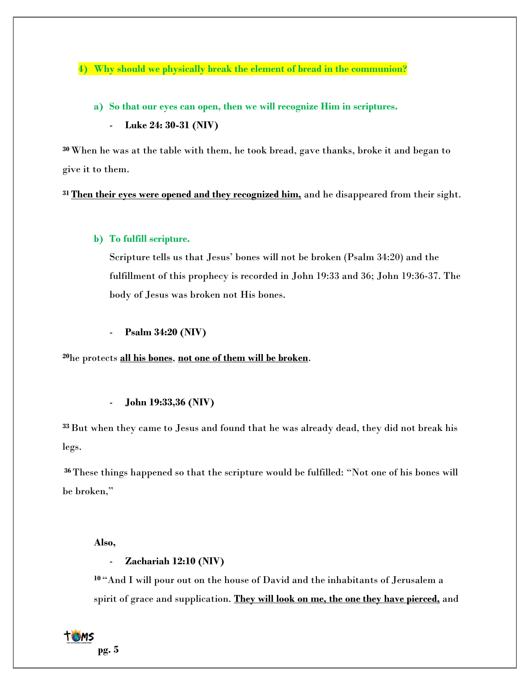**4) Why should we physically break the element of bread in the communion?**

- **a) So that our eyes can open, then we will recognize Him in scriptures.**
	- **Luke 24: 30-31 (NIV)**

**<sup>30</sup>** When he was at the table with them, he took bread, gave thanks, broke it and began to give it to them.

**<sup>31</sup> Then their eyes were opened and they recognized him,** and he disappeared from their sight.

# **b) To fulfill scripture.**

Scripture tells us that Jesus' bones will not be broken (Psalm 34:20) and the fulfillment of this prophecy is recorded in John 19:33 and 36; John 19:36-37. The body of Jesus was broken not His bones.

- **Psalm 34:20 (NIV)**

**<sup>20</sup>**he protects **all his bones**, **not one of them will be broken**.

# - **John 19:33,36 (NIV)**

**<sup>33</sup>**But when they came to Jesus and found that he was already dead, they did not break his legs.

**<sup>36</sup>** These things happened so that the scripture would be fulfilled: "Not one of his bones will be broken,"

#### **Also,**

# - **Zachariah 12:10 (NIV)**

**<sup>10</sup>** "And I will pour out on the house of David and the inhabitants of Jerusalem a spirit of grace and supplication. **They will look on me, the one they have pierced,** and

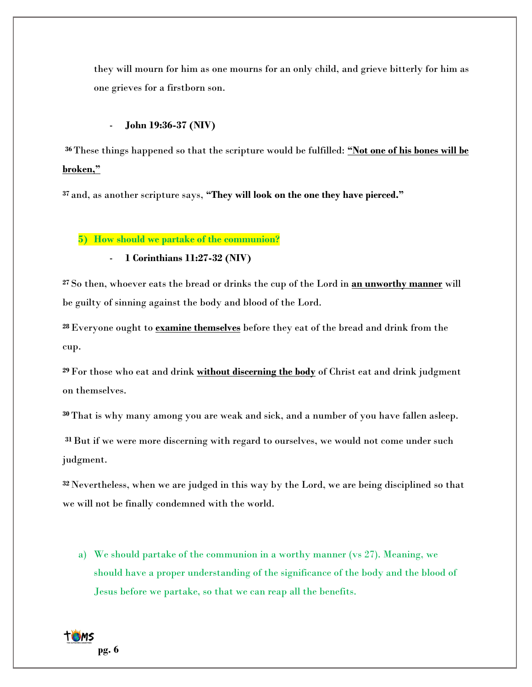they will mourn for him as one mourns for an only child, and grieve bitterly for him as one grieves for a firstborn son.

# - **John 19:36-37 (NIV)**

**<sup>36</sup>** These things happened so that the scripture would be fulfilled: **"Not one of his bones will be broken,"**

**<sup>37</sup>** and, as another scripture says, **"They will look on the one they have pierced."**

**5) How should we partake of the communion?**

- **1 Corinthians 11:27-32 (NIV)**

**<sup>27</sup>** So then, whoever eats the bread or drinks the cup of the Lord in **an unworthy manner** will be guilty of sinning against the body and blood of the Lord.

**<sup>28</sup>**Everyone ought to **examine themselves** before they eat of the bread and drink from the cup.

**<sup>29</sup>** For those who eat and drink **without discerning the body** of Christ eat and drink judgment on themselves.

**<sup>30</sup>** That is why many among you are weak and sick, and a number of you have fallen asleep.

**<sup>31</sup>**But if we were more discerning with regard to ourselves, we would not come under such judgment.

**<sup>32</sup>** Nevertheless, when we are judged in this way by the Lord, we are being disciplined so that we will not be finally condemned with the world.

a) We should partake of the communion in a worthy manner (vs 27). Meaning, we should have a proper understanding of the significance of the body and the blood of Jesus before we partake, so that we can reap all the benefits.

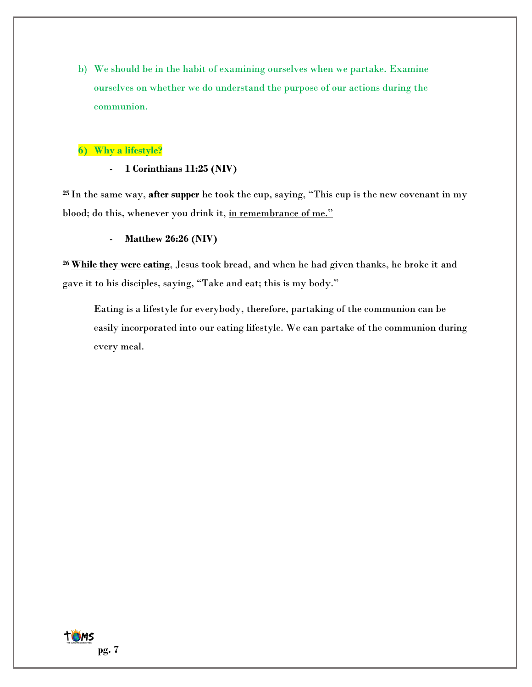b) We should be in the habit of examining ourselves when we partake. Examine ourselves on whether we do understand the purpose of our actions during the communion.

# **6) Why a lifestyle?**

- **1 Corinthians 11:25 (NIV)**

**<sup>25</sup>** In the same way, **after supper** he took the cup, saying, "This cup is the new covenant in my blood; do this, whenever you drink it, in remembrance of me."

- **Matthew 26:26 (NIV)**

**<sup>26</sup> While they were eating**, Jesus took bread, and when he had given thanks, he broke it and gave it to his disciples, saying, "Take and eat; this is my body."

Eating is a lifestyle for everybody, therefore, partaking of the communion can be easily incorporated into our eating lifestyle. We can partake of the communion during every meal.

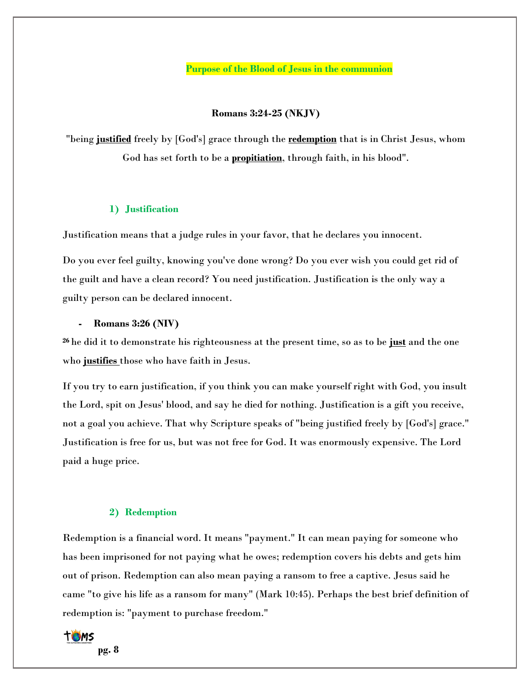**Purpose of the Blood of Jesus in the communion**

**Romans 3:24-25 (NKJV)**

"being **justified** freely by [God's] grace through the **redemption** that is in Christ Jesus, whom God has set forth to be a **propitiation**, through faith, in his blood".

#### **1) Justification**

Justification means that a judge rules in your favor, that he declares you innocent.

Do you ever feel guilty, knowing you've done wrong? Do you ever wish you could get rid of the guilt and have a clean record? You need justification. Justification is the only way a guilty person can be declared innocent.

#### **- Romans 3:26 (NIV)**

**<sup>26</sup>** he did it to demonstrate his righteousness at the present time, so as to be **just** and the one who **justifies** those who have faith in Jesus.

If you try to earn justification, if you think you can make yourself right with God, you insult the Lord, spit on Jesus' blood, and say he died for nothing. Justification is a gift you receive, not a goal you achieve. That why Scripture speaks of "being justified freely by [God's] grace." Justification is free for us, but was not free for God. It was enormously expensive. The Lord paid a huge price.

#### **2) Redemption**

Redemption is a financial word. It means "payment." It can mean paying for someone who has been imprisoned for not paying what he owes; redemption covers his debts and gets him out of prison. Redemption can also mean paying a ransom to free a captive. Jesus said he came "to give his life as a ransom for many" (Mark 10:45). Perhaps the best brief definition of redemption is: "payment to purchase freedom."

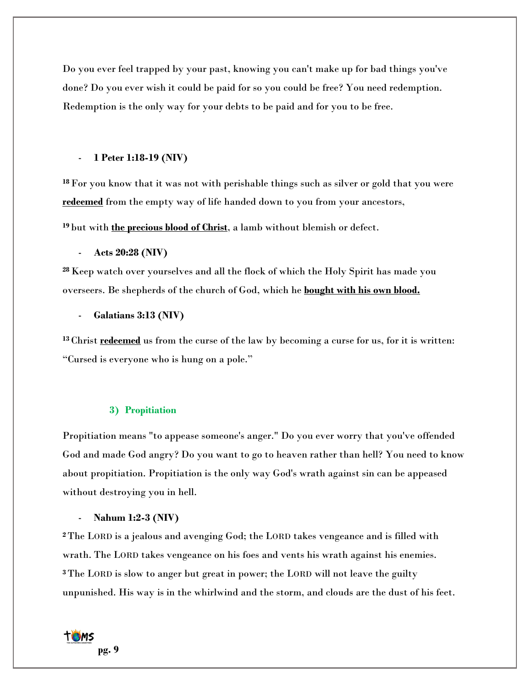Do you ever feel trapped by your past, knowing you can't make up for bad things you've done? Do you ever wish it could be paid for so you could be free? You need redemption. Redemption is the only way for your debts to be paid and for you to be free.

## - **1 Peter 1:18-19 (NIV)**

**<sup>18</sup>** For you know that it was not with perishable things such as silver or gold that you were **redeemed** from the empty way of life handed down to you from your ancestors,

**<sup>19</sup>** but with **the precious blood of Christ**, a lamb without blemish or defect.

## - **Acts 20:28 (NIV)**

**<sup>28</sup>** Keep watch over yourselves and all the flock of which the Holy Spirit has made you overseers. Be shepherds of the church of God, which he **bought with his own blood.**

# - **Galatians 3:13 (NIV)**

**<sup>13</sup>** Christ **redeemed** us from the curse of the law by becoming a curse for us, for it is written: "Cursed is everyone who is hung on a pole."

#### **3) Propitiation**

Propitiation means "to appease someone's anger." Do you ever worry that you've offended God and made God angry? Do you want to go to heaven rather than hell? You need to know about propitiation. Propitiation is the only way God's wrath against sin can be appeased without destroying you in hell.

#### - **Nahum 1:2-3 (NIV)**

**<sup>2</sup>** The LORD is a jealous and avenging God; the LORD takes vengeance and is filled with wrath. The LORD takes vengeance on his foes and vents his wrath against his enemies. **<sup>3</sup>** The LORD is slow to anger but great in power; the LORD will not leave the guilty unpunished. His way is in the whirlwind and the storm, and clouds are the dust of his feet.

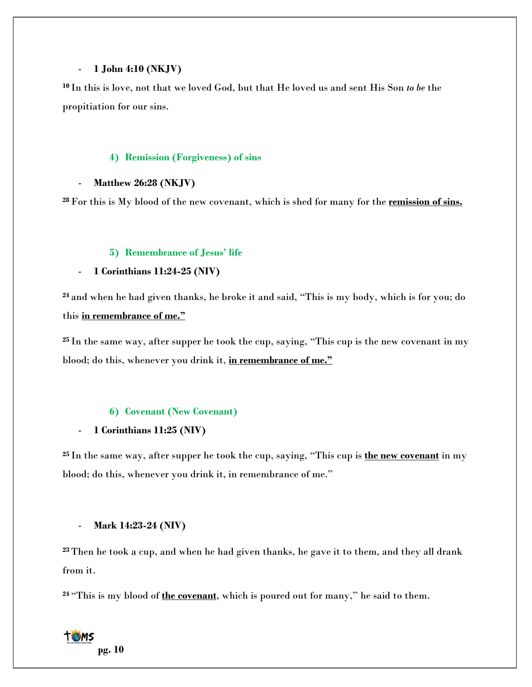# - **1 John 4:10 (NKJV)**

**<sup>10</sup>** In this is love, not that we loved God, but that He loved us and sent His Son *to be* the propitiation for our sins.

# **4) Remission (Forgiveness) of sins**

# - **Matthew 26:28 (NKJV)**

**<sup>28</sup>** For this is My blood of the new covenant, which is shed for many for the **remission of sins.**

# **5) Remembrance of Jesus' life**

# - **1 Corinthians 11:24-25 (NIV)**

**<sup>24</sup>** and when he had given thanks, he broke it and said, "This is my body, which is for you; do this **in remembrance of me."**

**<sup>25</sup>** In the same way, after supper he took the cup, saying, "This cup is the new covenant in my blood; do this, whenever you drink it, **in remembrance of me."**

# **6) Covenant (New Covenant)**

# - **1 Corinthians 11:25 (NIV)**

**<sup>25</sup>** In the same way, after supper he took the cup, saying, "This cup is **the new covenant** in my blood; do this, whenever you drink it, in remembrance of me."

# - **Mark 14:23-24 (NIV)**

**<sup>23</sup>** Then he took a cup, and when he had given thanks, he gave it to them, and they all drank from it.

**<sup>24</sup>** "This is my blood of **the covenant**, which is poured out for many," he said to them.

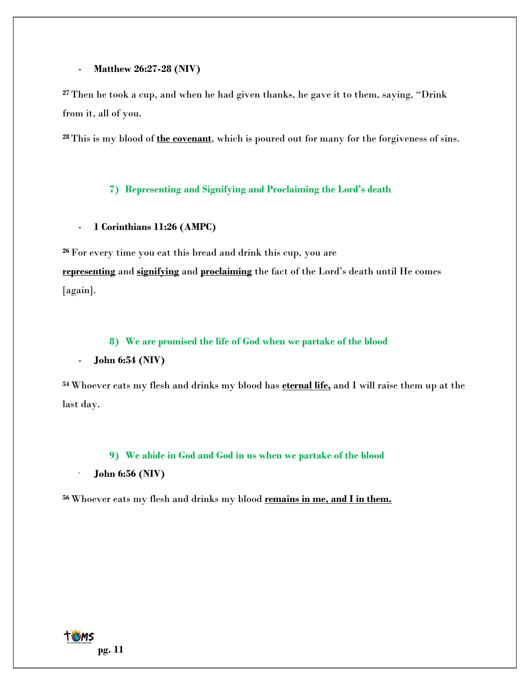## - **Matthew 26:27-28 (NIV)**

**<sup>27</sup>** Then he took a cup, and when he had given thanks, he gave it to them, saying, "Drink from it, all of you.

**<sup>28</sup>** This is my blood of **the covenant**, which is poured out for many for the forgiveness of sins.

# **7) Representing and Signifying and Proclaiming the Lord's death**

# - **1 Corinthians 11:26 (AMPC)**

**<sup>26</sup>** For every time you eat this bread and drink this cup, you are **representing** and **signifying** and **proclaiming** the fact of the Lord's death until He comes [again].

## **8) We are promised the life of God when we partake of the blood**

# - **John 6:54 (NIV)**

**<sup>54</sup>** Whoever eats my flesh and drinks my blood has **eternal life,** and I will raise them up at the last day.

## **9) We abide in God and God in us when we partake of the blood**

### - **John 6:56 (NIV)**

**<sup>56</sup>** Whoever eats my flesh and drinks my blood **remains in me, and I in them.**

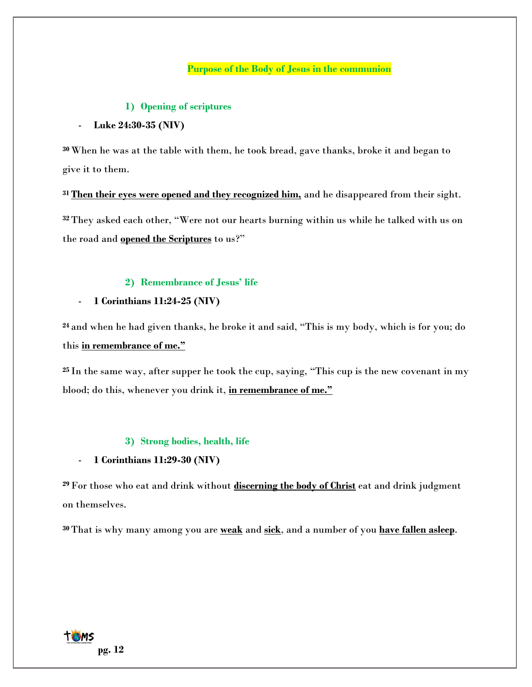# **Purpose of the Body of Jesus in the communion**

## **1) Opening of scriptures**

## - **Luke 24:30-35 (NIV)**

**<sup>30</sup>** When he was at the table with them, he took bread, gave thanks, broke it and began to give it to them.

**<sup>31</sup> Then their eyes were opened and they recognized him,** and he disappeared from their sight. **<sup>32</sup>** They asked each other, "Were not our hearts burning within us while he talked with us on the road and **opened the Scriptures** to us?"

# **2) Remembrance of Jesus' life**

## - **1 Corinthians 11:24-25 (NIV)**

**<sup>24</sup>** and when he had given thanks, he broke it and said, "This is my body, which is for you; do this **in remembrance of me."**

**<sup>25</sup>** In the same way, after supper he took the cup, saying, "This cup is the new covenant in my blood; do this, whenever you drink it, **in remembrance of me."**

#### **3) Strong bodies, health, life**

## - **1 Corinthians 11:29-30 (NIV)**

**<sup>29</sup>** For those who eat and drink without **discerning the body of Christ** eat and drink judgment on themselves.

**<sup>30</sup>**That is why many among you are **weak** and **sick**, and a number of you **have fallen asleep**.